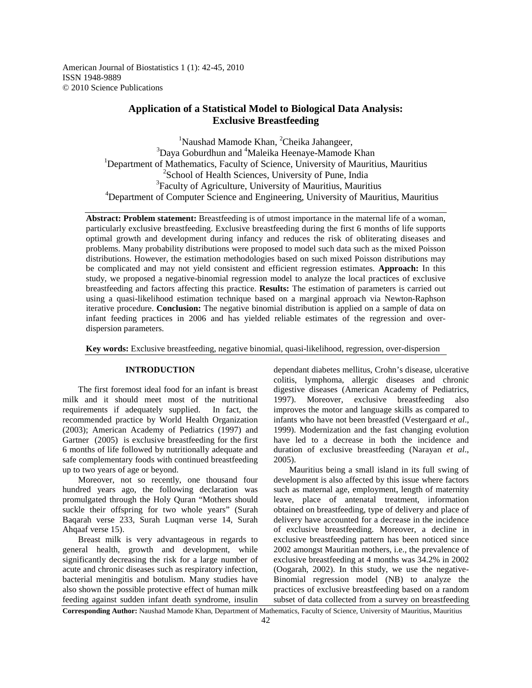American Journal of Biostatistics 1 (1): 42-45, 2010 ISSN 1948-9889 © 2010 Science Publications

# **Application of a Statistical Model to Biological Data Analysis: Exclusive Breastfeeding**

<sup>1</sup>Naushad Mamode Khan, <sup>2</sup>Cheika Jahangeer,  $3$ Daya Goburdhun and  $4$ Maleika Heenaye-Mamode Khan <sup>1</sup>Department of Mathematics, Faculty of Science, University of Mauritius, Mauritius <sup>2</sup>School of Health Sciences, University of Pune, India <sup>3</sup>Faculty of Agriculture, University of Mauritius, Mauritius <sup>4</sup>Department of Computer Science and Engineering, University of Mauritius, Mauritius

**Abstract: Problem statement:** Breastfeeding is of utmost importance in the maternal life of a woman, particularly exclusive breastfeeding. Exclusive breastfeeding during the first 6 months of life supports optimal growth and development during infancy and reduces the risk of obliterating diseases and problems. Many probability distributions were proposed to model such data such as the mixed Poisson distributions. However, the estimation methodologies based on such mixed Poisson distributions may be complicated and may not yield consistent and efficient regression estimates. **Approach:** In this study, we proposed a negative-binomial regression model to analyze the local practices of exclusive breastfeeding and factors affecting this practice. **Results:** The estimation of parameters is carried out using a quasi-likelihood estimation technique based on a marginal approach via Newton-Raphson iterative procedure. **Conclusion:** The negative binomial distribution is applied on a sample of data on infant feeding practices in 2006 and has yielded reliable estimates of the regression and overdispersion parameters.

**Key words:** Exclusive breastfeeding, negative binomial, quasi-likelihood, regression, over-dispersion

# **INTRODUCTION**

 The first foremost ideal food for an infant is breast milk and it should meet most of the nutritional requirements if adequately supplied. In fact, the recommended practice by World Health Organization (2003); American Academy of Pediatrics (1997) and Gartner (2005) is exclusive breastfeeding for the first 6 months of life followed by nutritionally adequate and safe complementary foods with continued breastfeeding up to two years of age or beyond.

 Moreover, not so recently, one thousand four hundred years ago, the following declaration was promulgated through the Holy Quran "Mothers should suckle their offspring for two whole years" (Surah Baqarah verse 233, Surah Luqman verse 14, Surah Ahqaaf verse 15).

 Breast milk is very advantageous in regards to general health, growth and development, while significantly decreasing the risk for a large number of acute and chronic diseases such as respiratory infection, bacterial meningitis and botulism. Many studies have also shown the possible protective effect of human milk feeding against sudden infant death syndrome, insulin

dependant diabetes mellitus, Crohn's disease, ulcerative colitis, lymphoma, allergic diseases and chronic digestive diseases (American Academy of Pediatrics, 1997). Moreover, exclusive breastfeeding also improves the motor and language skills as compared to infants who have not been breastfed (Vestergaard *et al*., 1999). Modernization and the fast changing evolution have led to a decrease in both the incidence and duration of exclusive breastfeeding (Narayan *et al*., 2005).

 Mauritius being a small island in its full swing of development is also affected by this issue where factors such as maternal age, employment, length of maternity leave, place of antenatal treatment, information obtained on breastfeeding, type of delivery and place of delivery have accounted for a decrease in the incidence of exclusive breastfeeding. Moreover, a decline in exclusive breastfeeding pattern has been noticed since 2002 amongst Mauritian mothers, i.e., the prevalence of exclusive breastfeeding at 4 months was 34.2% in 2002 (Oogarah, 2002). In this study, we use the negative-Binomial regression model (NB) to analyze the practices of exclusive breastfeeding based on a random subset of data collected from a survey on breastfeeding

**Corresponding Author:** Naushad Mamode Khan, Department of Mathematics, Faculty of Science, University of Mauritius, Mauritius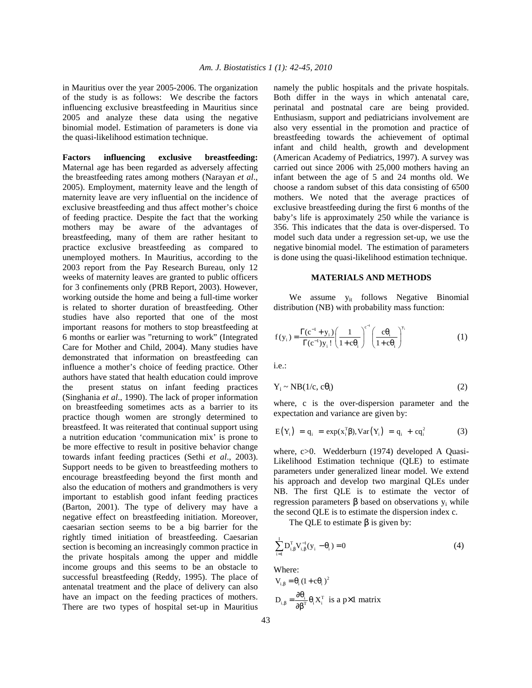in Mauritius over the year 2005-2006. The organization of the study is as follows: We describe the factors influencing exclusive breastfeeding in Mauritius since 2005 and analyze these data using the negative binomial model. Estimation of parameters is done via the quasi-likelihood estimation technique.

**Factors influencing exclusive breastfeeding:**  Maternal age has been regarded as adversely affecting the breastfeeding rates among mothers (Narayan *et al*., 2005). Employment, maternity leave and the length of maternity leave are very influential on the incidence of exclusive breastfeeding and thus affect mother's choice of feeding practice. Despite the fact that the working mothers may be aware of the advantages of breastfeeding, many of them are rather hesitant to practice exclusive breastfeeding as compared to unemployed mothers. In Mauritius, according to the 2003 report from the Pay Research Bureau, only 12 weeks of maternity leaves are granted to public officers for 3 confinements only (PRB Report, 2003). However, working outside the home and being a full-time worker is related to shorter duration of breastfeeding. Other studies have also reported that one of the most important reasons for mothers to stop breastfeeding at 6 months or earlier was "returning to work" (Integrated Care for Mother and Child, 2004). Many studies have demonstrated that information on breastfeeding can influence a mother's choice of feeding practice. Other authors have stated that health education could improve the present status on infant feeding practices (Singhania *et al*., 1990). The lack of proper information on breastfeeding sometimes acts as a barrier to its practice though women are strongly determined to breastfeed. It was reiterated that continual support using a nutrition education 'communication mix' is prone to be more effective to result in positive behavior change towards infant feeding practices (Sethi *et al*., 2003). Support needs to be given to breastfeeding mothers to encourage breastfeeding beyond the first month and also the education of mothers and grandmothers is very important to establish good infant feeding practices (Barton, 2001). The type of delivery may have a negative effect on breastfeeding initiation. Moreover, caesarian section seems to be a big barrier for the rightly timed initiation of breastfeeding. Caesarian section is becoming an increasingly common practice in the private hospitals among the upper and middle income groups and this seems to be an obstacle to successful breastfeeding (Reddy, 1995). The place of antenatal treatment and the place of delivery can also have an impact on the feeding practices of mothers. There are two types of hospital set-up in Mauritius

namely the public hospitals and the private hospitals. Both differ in the ways in which antenatal care, perinatal and postnatal care are being provided. Enthusiasm, support and pediatricians involvement are also very essential in the promotion and practice of breastfeeding towards the achievement of optimal infant and child health, growth and development (American Academy of Pediatrics, 1997). A survey was carried out since 2006 with 25,000 mothers having an infant between the age of 5 and 24 months old. We choose a random subset of this data consisting of 6500 mothers. We noted that the average practices of exclusive breastfeeding during the first 6 months of the baby's life is approximately 250 while the variance is 356. This indicates that the data is over-dispersed. To model such data under a regression set-up, we use the negative binomial model. The estimation of parameters is done using the quasi-likelihood estimation technique.

# **MATERIALS AND METHODS**

We assume  $y_{it}$  follows Negative Binomial distribution (NB) with probability mass function:

$$
f(y_i) = \frac{\Gamma(c^{-1} + y_i)}{\Gamma(c^{-1})y_i!} \left(\frac{1}{1 + c\theta_i}\right)^{c^{-1}} \left(\frac{c\theta_i}{1 + c\theta_i}\right)^{y_i}
$$
 (1)

i.e.:

$$
Y_i \sim NB(1/c, c\theta_i) \tag{2}
$$

where, c is the over-dispersion parameter and the expectation and variance are given by:

$$
E(Y_i) = q_i = exp(x_i^T \beta), Var(Y_i) = q_i + cq_i^2
$$
 (3)

where, c>0. Wedderburn (1974) developed A Quasi-Likelihood Estimation technique (QLE) to estimate parameters under generalized linear model. We extend his approach and develop two marginal QLEs under NB. The first QLE is to estimate the vector of regression parameters  $β$  based on observations  $y_i$  while the second QLE is to estimate the dispersion index c.

The QLE to estimate  $\beta$  is given by:

$$
\sum_{i=1}^{I} D_{i,\beta}^{T} V_{i,\beta}^{-1}(y_i - \theta_i) = 0
$$
\n(4)

Where:

$$
V_{i,\beta} = \theta_i (1 + c\theta_i)^2
$$
  

$$
D_{i,\beta} = \frac{\partial \theta_i}{\partial \beta^T} \theta_i X_i^T \text{ is a p} \times 1 \text{ matrix}
$$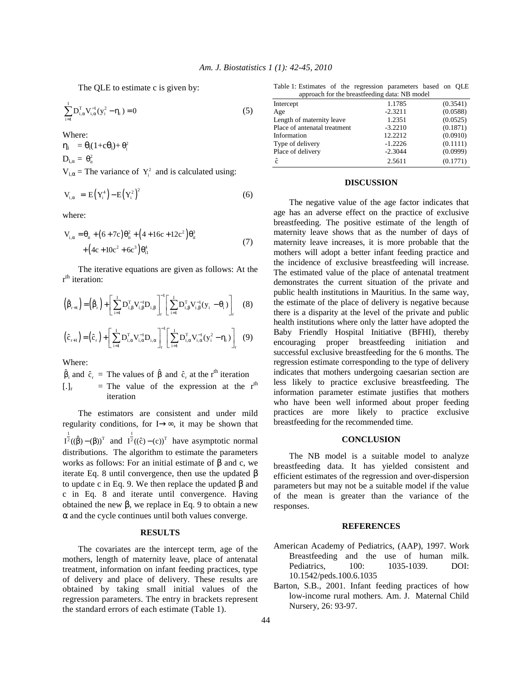The QLE to estimate c is given by:

$$
\sum_{i=1}^{I} D_{i,\alpha}^{T} V_{i,\alpha}^{-1} (y_i^2 - \eta_i) = 0
$$
 (5)

Where:

 $\eta_i = \theta_i(1+c\theta_i) + \theta_i^2$  $D_{i,\alpha} = \theta_{it}^2$  $V_{i,\alpha}$  = The variance of  $Y_i^2$  and is calculated using:

$$
V_{i,\alpha} = E(Y_i^4) - E(Y_i^2)^2
$$
 (6)

where:

$$
V_{i,\alpha} = \theta_{it} + (6+7c)\theta_{it}^{2} + (4+16c+12c^{2})\theta_{it}^{3} + (4c+10c^{2}+6c^{3})\theta_{it}^{4}
$$
\n(7)

 The iterative equations are given as follows: At the r<sup>th</sup> iteration:

$$
\left(\hat{\beta}_{r+1}\right) = \left(\hat{\beta}_{r}\right) + \left[\sum_{i=1}^{I} D_{i,\beta}^{T} V_{i,\beta}^{-1} D_{i,\beta}\right]_{r}^{-1} \left[\sum_{i=1}^{I} D_{i,\beta}^{T} V_{i,\beta}^{-1} (y_{i} - \theta_{i})\right]_{r} \quad (8)
$$

$$
\left(\hat{c}_{r+1}\right) = \left(\hat{c}_{r}\right) + \left[\sum_{i=1}^{I} D_{i,\alpha}^{T} V_{i,\alpha}^{-1} D_{i,\alpha}\right]_{r}^{-1} \left[\sum_{i=1}^{I} D_{i,\alpha}^{T} V_{i,\alpha}^{-1} (y_{i}^{2} - \eta_{i})\right]_{r} (9)
$$

Where:

$$
\hat{\beta}_r \text{ and } \hat{c}_r = \text{The values of } \hat{\beta} \text{ and } \hat{c}_r \text{ at the } r^{\text{th}} \text{ iteration}
$$
\n[.]<sub>r</sub> = The value of the expression at the  $r^{\text{th}}$  iteration

 The estimators are consistent and under mild regularity conditions, for I→∞, it may be shown that  $I^{\frac{1}{2}}((\hat{\beta}) - (\beta))^T$  and  $I^{\frac{1}{2}}((\hat{c}) - (c))^T$  have asymptotic normal distributions. The algorithm to estimate the parameters works as follows: For an initial estimate of  $\beta$  and c, we iterate Eq. 8 until convergence, then use the updated β to update c in Eq. 9. We then replace the updated β and c in Eq. 8 and iterate until convergence. Having obtained the new β, we replace in Eq. 9 to obtain a new  $\alpha$  and the cycle continues until both values converge.

# **RESULTS**

 The covariates are the intercept term, age of the mothers, length of maternity leave, place of antenatal treatment, information on infant feeding practices, type of delivery and place of delivery. These results are obtained by taking small initial values of the regression parameters. The entry in brackets represent the standard errors of each estimate (Table 1).

Table 1: Estimates of the regression parameters based on QLE approach for the breastfeeding data: NB model

| approach for the preasurednig data. The model |           |          |
|-----------------------------------------------|-----------|----------|
| Intercept                                     | 1.1785    | (0.3541) |
| Age                                           | $-2.3211$ | (0.0588) |
| Length of maternity leave                     | 1.2351    | (0.0525) |
| Place of antenatal treatment                  | $-3.2210$ | (0.1871) |
| Information                                   | 12.2212   | (0.0910) |
| Type of delivery                              | $-1.2226$ | (0.1111) |
| Place of delivery                             | $-2.3044$ | (0.0999) |
| ĉ                                             | 2.5611    | (0.1771) |

### **DISCUSSION**

 The negative value of the age factor indicates that age has an adverse effect on the practice of exclusive breastfeeding. The positive estimate of the length of maternity leave shows that as the number of days of maternity leave increases, it is more probable that the mothers will adopt a better infant feeding practice and the incidence of exclusive breastfeeding will increase. The estimated value of the place of antenatal treatment demonstrates the current situation of the private and public health institutions in Mauritius. In the same way, the estimate of the place of delivery is negative because there is a disparity at the level of the private and public health institutions where only the latter have adopted the Baby Friendly Hospital Initiative (BFHI), thereby encouraging proper breastfeeding initiation and successful exclusive breastfeeding for the 6 months. The regression estimate corresponding to the type of delivery indicates that mothers undergoing caesarian section are less likely to practice exclusive breastfeeding. The information parameter estimate justifies that mothers who have been well informed about proper feeding practices are more likely to practice exclusive breastfeeding for the recommended time.

### **CONCLUSION**

 The NB model is a suitable model to analyze breastfeeding data. It has yielded consistent and efficient estimates of the regression and over-dispersion parameters but may not be a suitable model if the value of the mean is greater than the variance of the responses.

### **REFERENCES**

- American Academy of Pediatrics, (AAP), 1997. Work Breastfeeding and the use of human milk. Pediatrics, 100: 1035-1039. DOI: 10.1542/peds.100.6.1035
- Barton, S.B., 2001. Infant feeding practices of how low-income rural mothers. Am. J. Maternal Child Nursery, 26: 93-97.